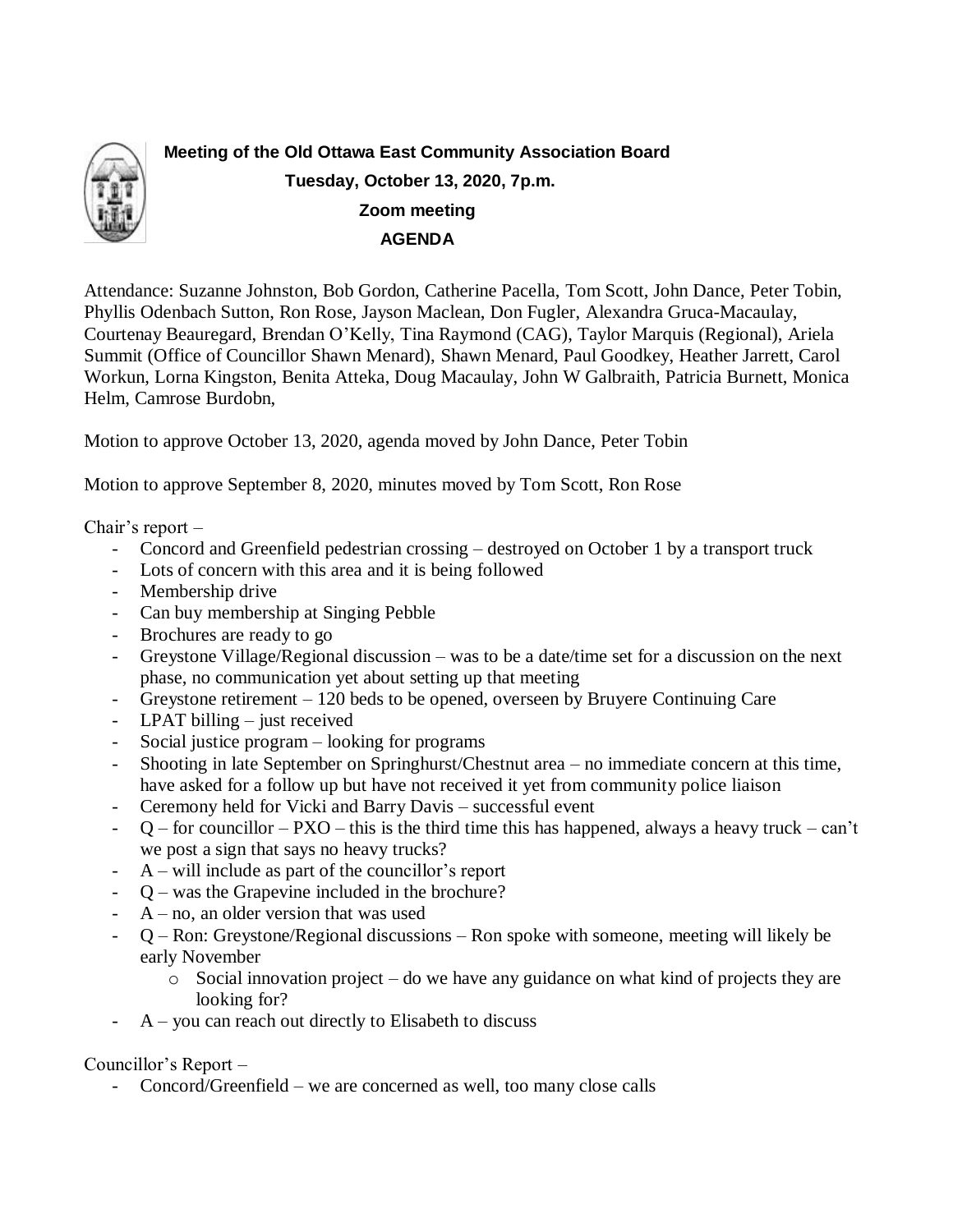

**Meeting of the Old Ottawa East Community Association Board Tuesday, October 13, 2020, 7p.m. Zoom meeting AGENDA**

Attendance: Suzanne Johnston, Bob Gordon, Catherine Pacella, Tom Scott, John Dance, Peter Tobin, Phyllis Odenbach Sutton, Ron Rose, Jayson Maclean, Don Fugler, Alexandra Gruca-Macaulay, Courtenay Beauregard, Brendan O'Kelly, Tina Raymond (CAG), Taylor Marquis (Regional), Ariela Summit (Office of Councillor Shawn Menard), Shawn Menard, Paul Goodkey, Heather Jarrett, Carol Workun, Lorna Kingston, Benita Atteka, Doug Macaulay, John W Galbraith, Patricia Burnett, Monica Helm, Camrose Burdobn,

Motion to approve October 13, 2020, agenda moved by John Dance, Peter Tobin

Motion to approve September 8, 2020, minutes moved by Tom Scott, Ron Rose

Chair's report –

- Concord and Greenfield pedestrian crossing destroyed on October 1 by a transport truck
- Lots of concern with this area and it is being followed
- Membership drive
- Can buy membership at Singing Pebble
- Brochures are ready to go
- Greystone Village/Regional discussion was to be a date/time set for a discussion on the next phase, no communication yet about setting up that meeting
- Greystone retirement 120 beds to be opened, overseen by Bruyere Continuing Care
- LPAT billing just received
- Social justice program looking for programs
- Shooting in late September on Springhurst/Chestnut area no immediate concern at this time, have asked for a follow up but have not received it yet from community police liaison
- Ceremony held for Vicki and Barry Davis successful event
- $Q$  for councillor PXO this is the third time this has happened, always a heavy truck can't we post a sign that says no heavy trucks?
- $A$  will include as part of the councillor's report
- Q was the Grapevine included in the brochure?
- $A$  no, an older version that was used
- Q Ron: Greystone/Regional discussions Ron spoke with someone, meeting will likely be early November
	- $\circ$  Social innovation project do we have any guidance on what kind of projects they are looking for?
- $A$  you can reach out directly to Elisabeth to discuss

Councillor's Report –

Concord/Greenfield – we are concerned as well, too many close calls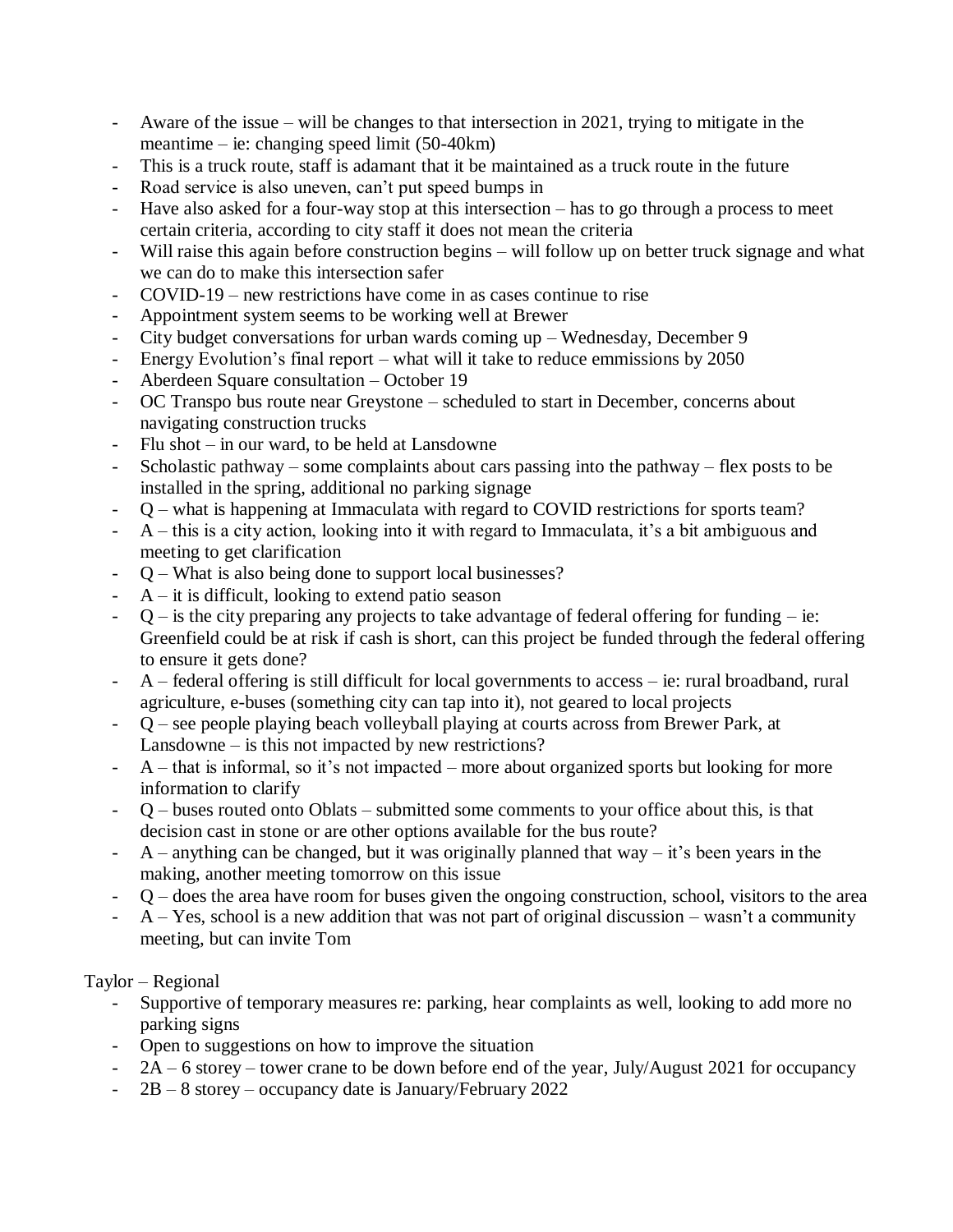- Aware of the issue will be changes to that intersection in 2021, trying to mitigate in the meantime – ie: changing speed limit (50-40km)
- This is a truck route, staff is adamant that it be maintained as a truck route in the future
- Road service is also uneven, can't put speed bumps in
- Have also asked for a four-way stop at this intersection has to go through a process to meet certain criteria, according to city staff it does not mean the criteria
- Will raise this again before construction begins will follow up on better truck signage and what we can do to make this intersection safer
- $COVID-19$  new restrictions have come in as cases continue to rise
- Appointment system seems to be working well at Brewer
- City budget conversations for urban wards coming up Wednesday, December 9
- Energy Evolution's final report what will it take to reduce emmissions by 2050
- Aberdeen Square consultation October 19
- OC Transpo bus route near Greystone scheduled to start in December, concerns about navigating construction trucks
- Flu shot in our ward, to be held at Lansdowne
- Scholastic pathway some complaints about cars passing into the pathway flex posts to be installed in the spring, additional no parking signage
- Q what is happening at Immaculata with regard to COVID restrictions for sports team?
- A this is a city action, looking into it with regard to Immaculata, it's a bit ambiguous and meeting to get clarification
- Q What is also being done to support local businesses?
- $A it$  is difficult, looking to extend patio season
- $Q$  is the city preparing any projects to take advantage of federal offering for funding ie: Greenfield could be at risk if cash is short, can this project be funded through the federal offering to ensure it gets done?
- $A$  federal offering is still difficult for local governments to access ie: rural broadband, rural agriculture, e-buses (something city can tap into it), not geared to local projects
- Q see people playing beach volleyball playing at courts across from Brewer Park, at Lansdowne – is this not impacted by new restrictions?
- A that is informal, so it's not impacted more about organized sports but looking for more information to clarify
- Q buses routed onto Oblats submitted some comments to your office about this, is that decision cast in stone or are other options available for the bus route?
- $A$  anything can be changed, but it was originally planned that way it's been years in the making, another meeting tomorrow on this issue
- Q does the area have room for buses given the ongoing construction, school, visitors to the area
- $A Yes$ , school is a new addition that was not part of original discussion wasn't a community meeting, but can invite Tom

#### Taylor – Regional

- Supportive of temporary measures re: parking, hear complaints as well, looking to add more no parking signs
- Open to suggestions on how to improve the situation
- $2A 6$  storey tower crane to be down before end of the year, July/August 2021 for occupancy
- $2B 8$  storey occupancy date is January/February 2022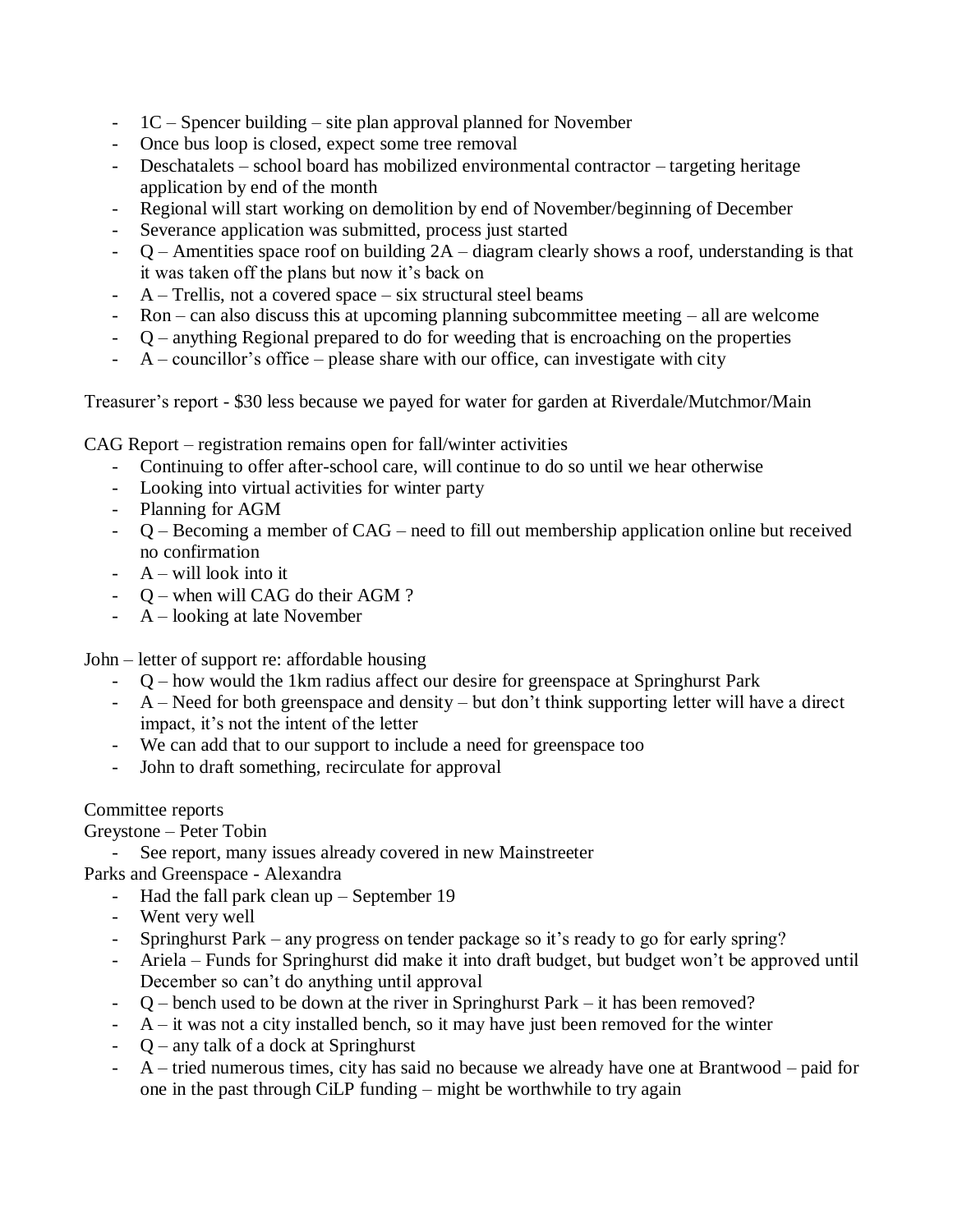- $1C$  Spencer building site plan approval planned for November
- Once bus loop is closed, expect some tree removal
- Deschatalets school board has mobilized environmental contractor targeting heritage application by end of the month
- Regional will start working on demolition by end of November/beginning of December
- Severance application was submitted, process just started
- $Q$  Amentities space roof on building  $2A$  diagram clearly shows a roof, understanding is that it was taken off the plans but now it's back on
- $A$  Trellis, not a covered space six structural steel beams
- $Ron can also discuss this at upcoming planning subcommitte meeting all are welcome$
- Q anything Regional prepared to do for weeding that is encroaching on the properties
- $A$  councillor's office please share with our office, can investigate with city

Treasurer's report - \$30 less because we payed for water for garden at Riverdale/Mutchmor/Main

CAG Report – registration remains open for fall/winter activities

- Continuing to offer after-school care, will continue to do so until we hear otherwise
- Looking into virtual activities for winter party
- Planning for AGM
- Q Becoming a member of CAG need to fill out membership application online but received no confirmation
- A will look into it
- O when will CAG do their AGM?
- $A$  looking at late November

John – letter of support re: affordable housing

- Q how would the 1km radius affect our desire for greenspace at Springhurst Park
- A Need for both greenspace and density but don't think supporting letter will have a direct impact, it's not the intent of the letter
- We can add that to our support to include a need for greenspace too
- John to draft something, recirculate for approval

## Committee reports

Greystone – Peter Tobin

- See report, many issues already covered in new Mainstreeter
- Parks and Greenspace Alexandra
	- Had the fall park clean  $up$  September 19
	- Went very well
	- Springhurst Park any progress on tender package so it's ready to go for early spring?
	- Ariela Funds for Springhurst did make it into draft budget, but budget won't be approved until December so can't do anything until approval
	- $Q$  bench used to be down at the river in Springhurst Park it has been removed?
	- $A it was not a city installed bench, so it may have just been removed for the winter.$
	- Q any talk of a dock at Springhurst
	- $A$  tried numerous times, city has said no because we already have one at Brantwood paid for one in the past through CiLP funding – might be worthwhile to try again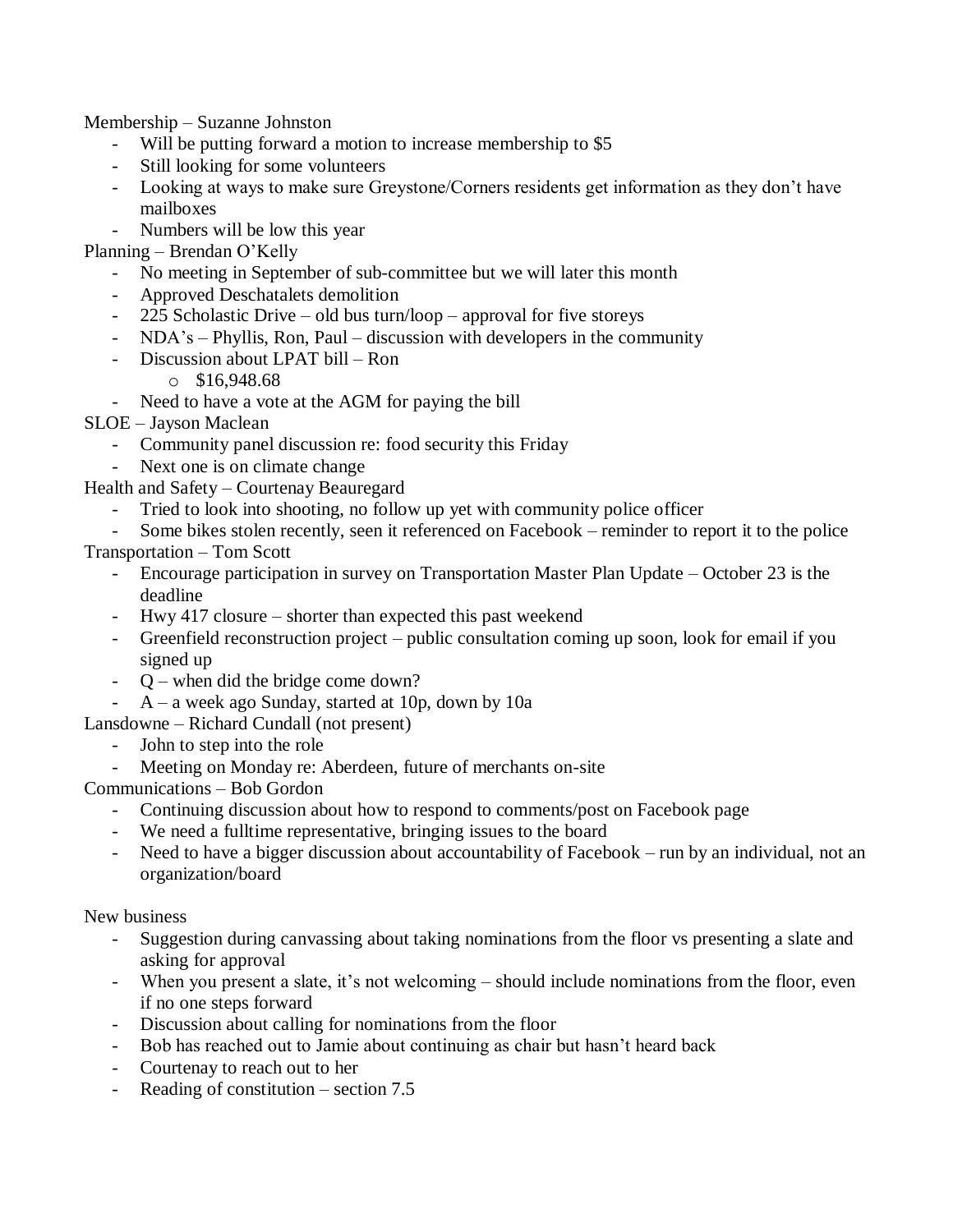Membership – Suzanne Johnston

- Will be putting forward a motion to increase membership to \$5
- Still looking for some volunteers
- Looking at ways to make sure Greystone/Corners residents get information as they don't have mailboxes
- Numbers will be low this year

Planning – Brendan O'Kelly

- No meeting in September of sub-committee but we will later this month
- Approved Deschatalets demolition
- 225 Scholastic Drive old bus turn/loop approval for five storeys
- NDA's Phyllis, Ron, Paul discussion with developers in the community
- Discussion about LPAT bill Ron
	- $\circ$  \$16,948,68
- Need to have a vote at the AGM for paying the bill

SLOE – Jayson Maclean

- Community panel discussion re: food security this Friday
- Next one is on climate change

Health and Safety – Courtenay Beauregard

- Tried to look into shooting, no follow up yet with community police officer
- Some bikes stolen recently, seen it referenced on Facebook reminder to report it to the police

Transportation – Tom Scott

- Encourage participation in survey on Transportation Master Plan Update October 23 is the deadline
- Hwy 417 closure shorter than expected this past weekend
- Greenfield reconstruction project public consultation coming up soon, look for email if you signed up
- Q when did the bridge come down?
- $A a$  week ago Sunday, started at 10p, down by 10a

Lansdowne – Richard Cundall (not present)

- John to step into the role
- Meeting on Monday re: Aberdeen, future of merchants on-site

Communications – Bob Gordon

- Continuing discussion about how to respond to comments/post on Facebook page
- We need a fulltime representative, bringing issues to the board
- Need to have a bigger discussion about accountability of Facebook run by an individual, not an organization/board

New business

- Suggestion during canvassing about taking nominations from the floor vs presenting a slate and asking for approval
- When you present a slate, it's not welcoming should include nominations from the floor, even if no one steps forward
- Discussion about calling for nominations from the floor
- Bob has reached out to Jamie about continuing as chair but hasn't heard back
- Courtenay to reach out to her
- Reading of constitution section  $7.5$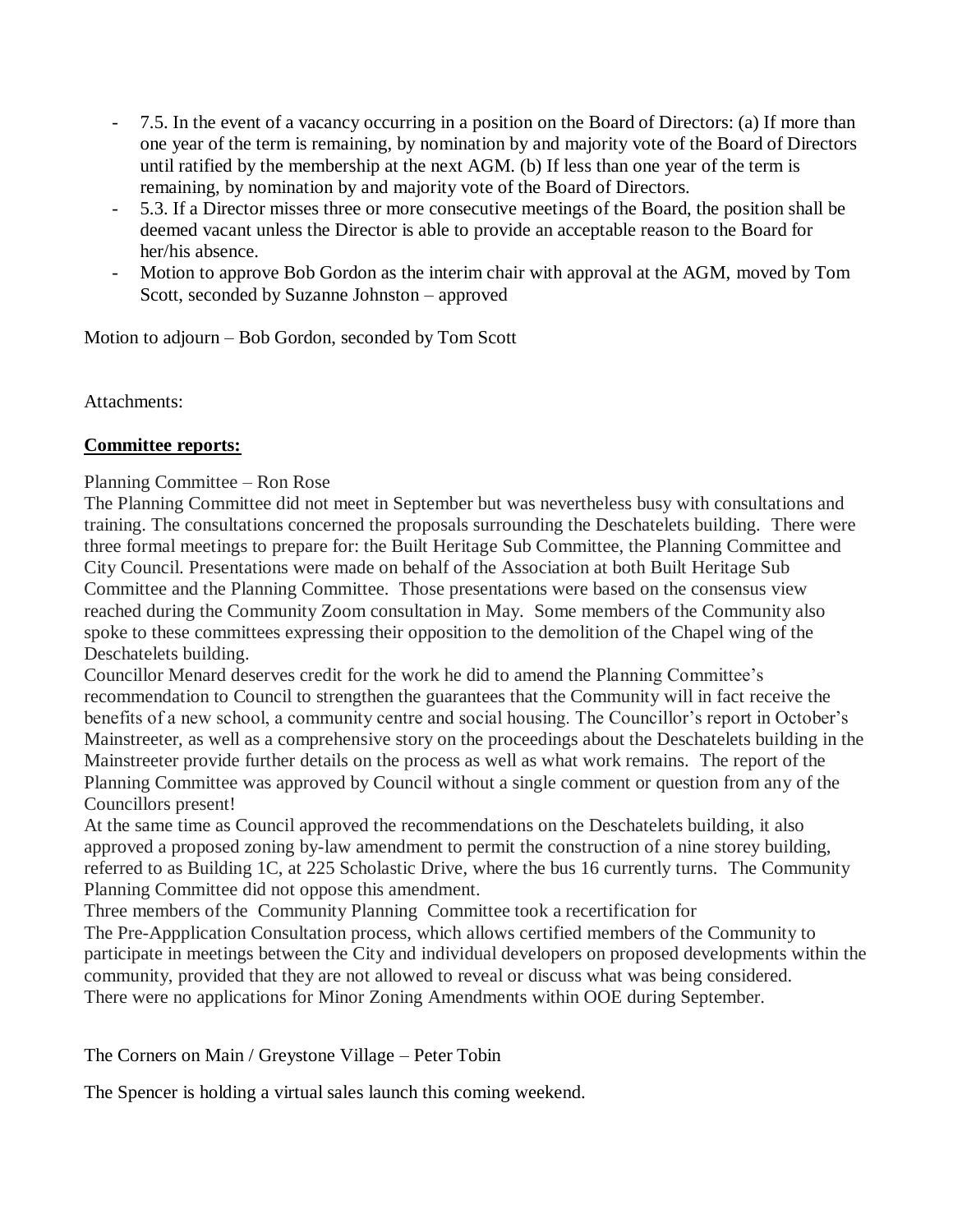- 7.5. In the event of a vacancy occurring in a position on the Board of Directors: (a) If more than one year of the term is remaining, by nomination by and majority vote of the Board of Directors until ratified by the membership at the next AGM. (b) If less than one year of the term is remaining, by nomination by and majority vote of the Board of Directors.
- 5.3. If a Director misses three or more consecutive meetings of the Board, the position shall be deemed vacant unless the Director is able to provide an acceptable reason to the Board for her/his absence.
- Motion to approve Bob Gordon as the interim chair with approval at the AGM, moved by Tom Scott, seconded by Suzanne Johnston – approved

Motion to adjourn – Bob Gordon, seconded by Tom Scott

Attachments:

### **Committee reports:**

### Planning Committee – Ron Rose

The Planning Committee did not meet in September but was nevertheless busy with consultations and training. The consultations concerned the proposals surrounding the Deschatelets building. There were three formal meetings to prepare for: the Built Heritage Sub Committee, the Planning Committee and City Council. Presentations were made on behalf of the Association at both Built Heritage Sub Committee and the Planning Committee. Those presentations were based on the consensus view reached during the Community Zoom consultation in May. Some members of the Community also spoke to these committees expressing their opposition to the demolition of the Chapel wing of the Deschatelets building.

Councillor Menard deserves credit for the work he did to amend the Planning Committee's recommendation to Council to strengthen the guarantees that the Community will in fact receive the benefits of a new school, a community centre and social housing. The Councillor's report in October's Mainstreeter, as well as a comprehensive story on the proceedings about the Deschatelets building in the Mainstreeter provide further details on the process as well as what work remains. The report of the Planning Committee was approved by Council without a single comment or question from any of the Councillors present!

At the same time as Council approved the recommendations on the Deschatelets building, it also approved a proposed zoning by-law amendment to permit the construction of a nine storey building, referred to as Building 1C, at 225 Scholastic Drive, where the bus 16 currently turns. The Community Planning Committee did not oppose this amendment.

Three members of the Community Planning Committee took a recertification for

The Pre-Appplication Consultation process, which allows certified members of the Community to participate in meetings between the City and individual developers on proposed developments within the community, provided that they are not allowed to reveal or discuss what was being considered. There were no applications for Minor Zoning Amendments within OOE during September.

The Corners on Main / Greystone Village – Peter Tobin

The Spencer is holding a virtual sales launch this coming weekend.